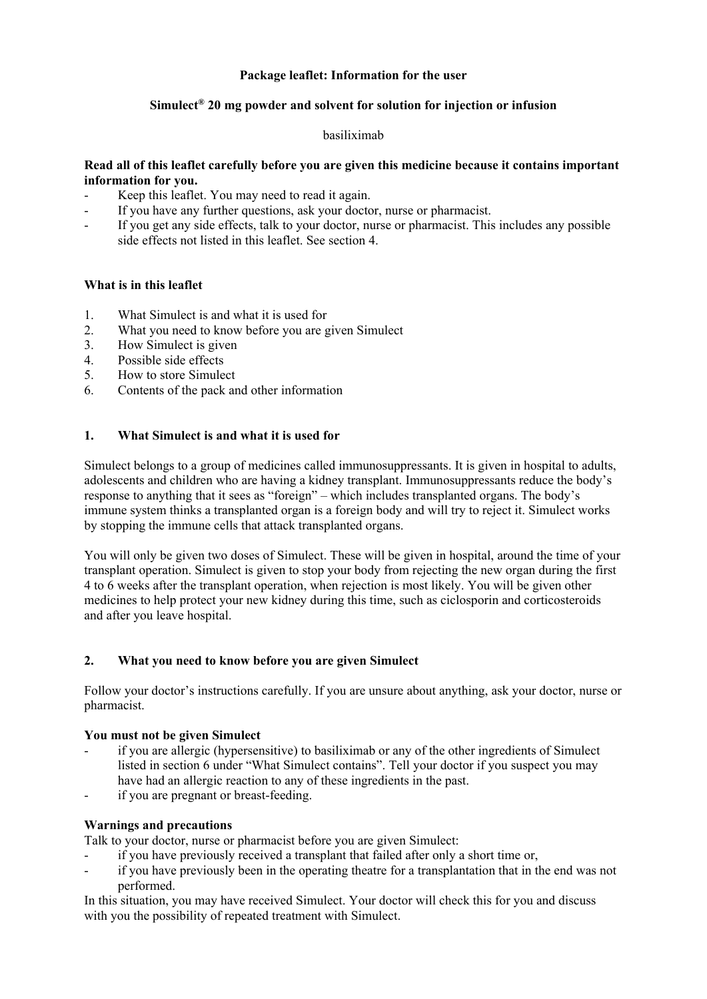## **Package leaflet: Information for the user**

## **Simulect® 20 mg powder and solvent for solution for injection or infusion**

#### basiliximab

## **Read all of this leaflet carefully before you are given this medicine because it contains important information for you.**

- Keep this leaflet. You may need to read it again.
- If you have any further questions, ask your doctor, nurse or pharmacist.
- If you get any side effects, talk to your doctor, nurse or pharmacist. This includes any possible side effects not listed in this leaflet. See section 4.

## **What is in this leaflet**

- 1. What Simulect is and what it is used for
- 2. What you need to know before you are given Simulect
- 3. How Simulect is given
- 4. Possible side effects
- 5. How to store Simulect
- 6. Contents of the pack and other information

## **1. What Simulect is and what it is used for**

Simulect belongs to a group of medicines called immunosuppressants. It is given in hospital to adults, adolescents and children who are having a kidney transplant. Immunosuppressants reduce the body's response to anything that it sees as "foreign" – which includes transplanted organs. The body's immune system thinks a transplanted organ is a foreign body and will try to reject it. Simulect works by stopping the immune cells that attack transplanted organs.

You will only be given two doses of Simulect. These will be given in hospital, around the time of your transplant operation. Simulect is given to stop your body from rejecting the new organ during the first 4 to 6 weeks after the transplant operation, when rejection is most likely. You will be given other medicines to help protect your new kidney during this time, such as ciclosporin and corticosteroids and after you leave hospital.

### **2. What you need to know before you are given Simulect**

Follow your doctor's instructions carefully. If you are unsure about anything, ask your doctor, nurse or pharmacist.

### **You must not be given Simulect**

- if you are allergic (hypersensitive) to basiliximab or any of the other ingredients of Simulect listed in section 6 under "What Simulect contains". Tell your doctor if you suspect you may have had an allergic reaction to any of these ingredients in the past.
- if you are pregnant or breast-feeding.

### **Warnings and precautions**

Talk to your doctor, nurse or pharmacist before you are given Simulect:

- if you have previously received a transplant that failed after only a short time or,
- if you have previously been in the operating theatre for a transplantation that in the end was not performed.

In this situation, you may have received Simulect. Your doctor will check this for you and discuss with you the possibility of repeated treatment with Simulect.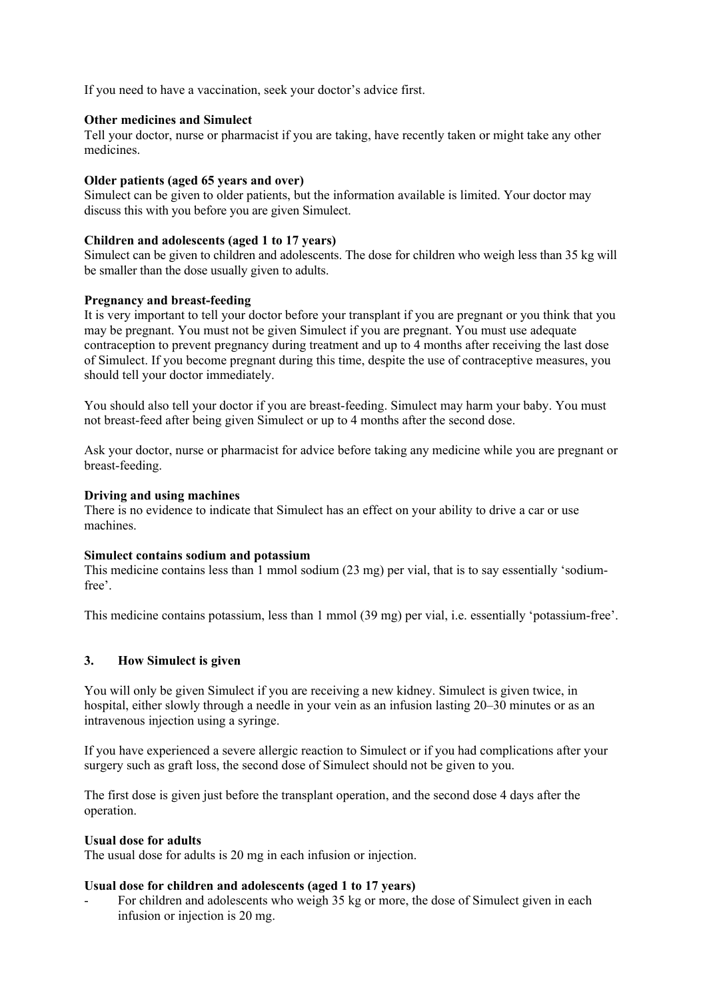If you need to have a vaccination, seek your doctor's advice first.

## **Other medicines and Simulect**

Tell your doctor, nurse or pharmacist if you are taking, have recently taken or might take any other medicines.

## **Older patients (aged 65 years and over)**

Simulect can be given to older patients, but the information available is limited. Your doctor may discuss this with you before you are given Simulect.

## **Children and adolescents (aged 1 to 17 years)**

Simulect can be given to children and adolescents. The dose for children who weigh less than 35 kg will be smaller than the dose usually given to adults.

## **Pregnancy and breast-feeding**

It is very important to tell your doctor before your transplant if you are pregnant or you think that you may be pregnant. You must not be given Simulect if you are pregnant. You must use adequate contraception to prevent pregnancy during treatment and up to 4 months after receiving the last dose of Simulect. If you become pregnant during this time, despite the use of contraceptive measures, you should tell your doctor immediately.

You should also tell your doctor if you are breast-feeding. Simulect may harm your baby. You must not breast-feed after being given Simulect or up to 4 months after the second dose.

Ask your doctor, nurse or pharmacist for advice before taking any medicine while you are pregnant or breast-feeding.

## **Driving and using machines**

There is no evidence to indicate that Simulect has an effect on your ability to drive a car or use machines.

### **Simulect contains sodium and potassium**

This medicine contains less than 1 mmol sodium (23 mg) per vial, that is to say essentially 'sodiumfree'.

This medicine contains potassium, less than 1 mmol (39 mg) per vial, i.e. essentially 'potassium-free'.

## **3. How Simulect is given**

You will only be given Simulect if you are receiving a new kidney. Simulect is given twice, in hospital, either slowly through a needle in your vein as an infusion lasting 20–30 minutes or as an intravenous injection using a syringe.

If you have experienced a severe allergic reaction to Simulect or if you had complications after your surgery such as graft loss, the second dose of Simulect should not be given to you.

The first dose is given just before the transplant operation, and the second dose 4 days after the operation.

### **Usual dose for adults**

The usual dose for adults is 20 mg in each infusion or injection.

# **Usual dose for children and adolescents (aged 1 to 17 years)**

For children and adolescents who weigh 35 kg or more, the dose of Simulect given in each infusion or injection is 20 mg.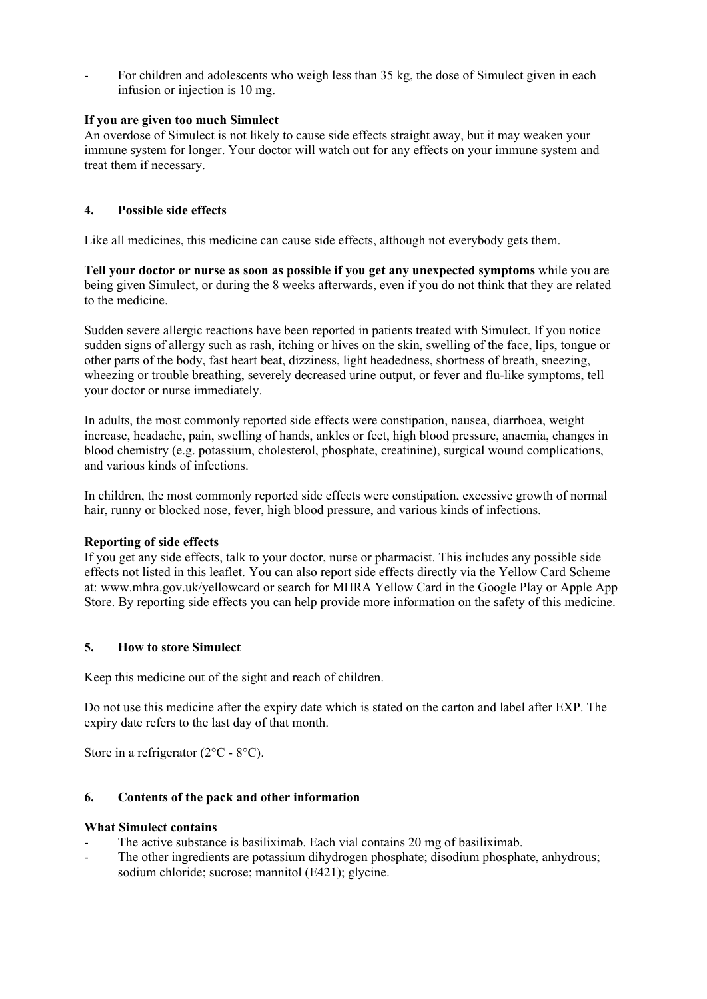For children and adolescents who weigh less than 35 kg, the dose of Simulect given in each infusion or injection is 10 mg.

## **If you are given too much Simulect**

An overdose of Simulect is not likely to cause side effects straight away, but it may weaken your immune system for longer. Your doctor will watch out for any effects on your immune system and treat them if necessary.

## **4. Possible side effects**

Like all medicines, this medicine can cause side effects, although not everybody gets them.

**Tell your doctor or nurse as soon as possible if you get any unexpected symptoms** while you are being given Simulect, or during the 8 weeks afterwards, even if you do not think that they are related to the medicine.

Sudden severe allergic reactions have been reported in patients treated with Simulect. If you notice sudden signs of allergy such as rash, itching or hives on the skin, swelling of the face, lips, tongue or other parts of the body, fast heart beat, dizziness, light headedness, shortness of breath, sneezing, wheezing or trouble breathing, severely decreased urine output, or fever and flu-like symptoms, tell your doctor or nurse immediately.

In adults, the most commonly reported side effects were constipation, nausea, diarrhoea, weight increase, headache, pain, swelling of hands, ankles or feet, high blood pressure, anaemia, changes in blood chemistry (e.g. potassium, cholesterol, phosphate, creatinine), surgical wound complications, and various kinds of infections.

In children, the most commonly reported side effects were constipation, excessive growth of normal hair, runny or blocked nose, fever, high blood pressure, and various kinds of infections.

### **Reporting of side effects**

If you get any side effects, talk to your doctor, nurse or pharmacist. This includes any possible side effects not listed in this leaflet. You can also report side effects directly via the Yellow Card Scheme at: www.mhra.gov.uk/yellowcard or search for MHRA Yellow Card in the Google Play or Apple App Store. By reporting side effects you can help provide more information on the safety of this medicine.

# **5. How to store Simulect**

Keep this medicine out of the sight and reach of children.

Do not use this medicine after the expiry date which is stated on the carton and label after EXP. The expiry date refers to the last day of that month.

Store in a refrigerator  $(2^{\circ}C - 8^{\circ}C)$ .

## **6. Contents of the pack and other information**

### **What Simulect contains**

- The active substance is basiliximab. Each vial contains 20 mg of basiliximab.
- The other ingredients are potassium dihydrogen phosphate; disodium phosphate, anhydrous; sodium chloride; sucrose; mannitol (E421); glycine.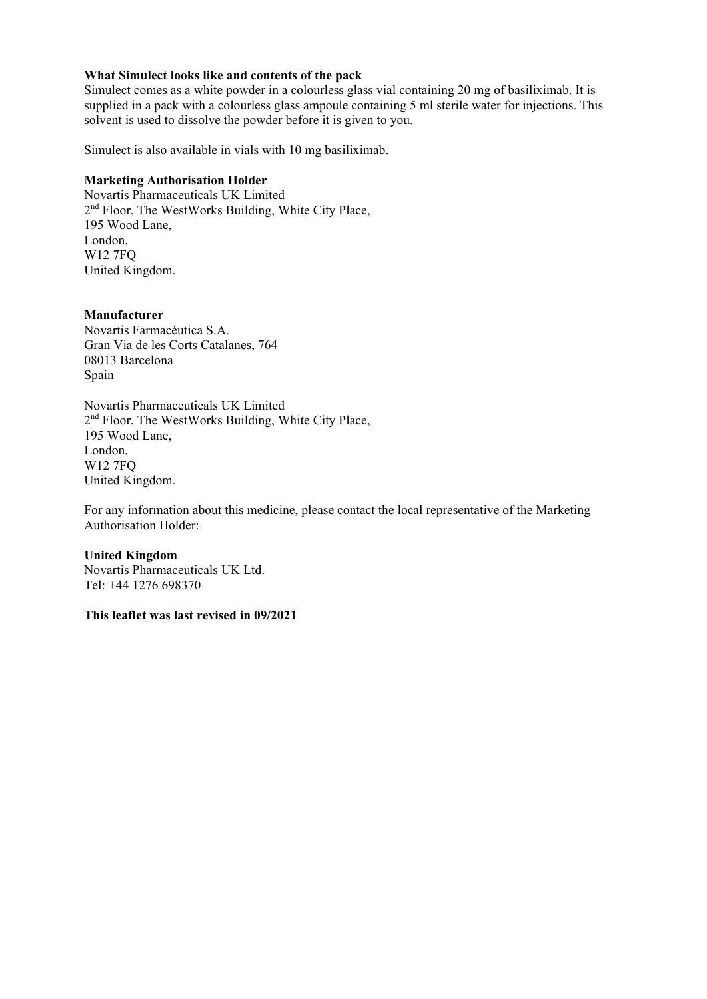### **What Simulect looks like and contents of the pack**

Simulect comes as a white powder in a colourless glass vial containing 20 mg of basiliximab. It is supplied in a pack with a colourless glass ampoule containing 5 ml sterile water for injections. This solvent is used to dissolve the powder before it is given to you.

Simulect is also available in vials with 10 mg basiliximab.

#### **Marketing Authorisation Holder**

Novartis Pharmaceuticals UK Limited 2<sup>nd</sup> Floor, The WestWorks Building, White City Place, 195 Wood Lane, London, W12 7FQ United Kingdom.

#### **Manufacturer**

Novartis Farmacéutica S.A. Gran Via de les Corts Catalanes, 764 08013 Barcelona Spain

Novartis Pharmaceuticals UK Limited 2<sup>nd</sup> Floor, The WestWorks Building, White City Place, 195 Wood Lane, London, W12 7FQ United Kingdom.

For any information about this medicine, please contact the local representative of the Marketing Authorisation Holder:

#### **United Kingdom**

Novartis Pharmaceuticals UK Ltd. Tel: +44 1276 698370

#### **This leaflet was last revised in 09/2021**